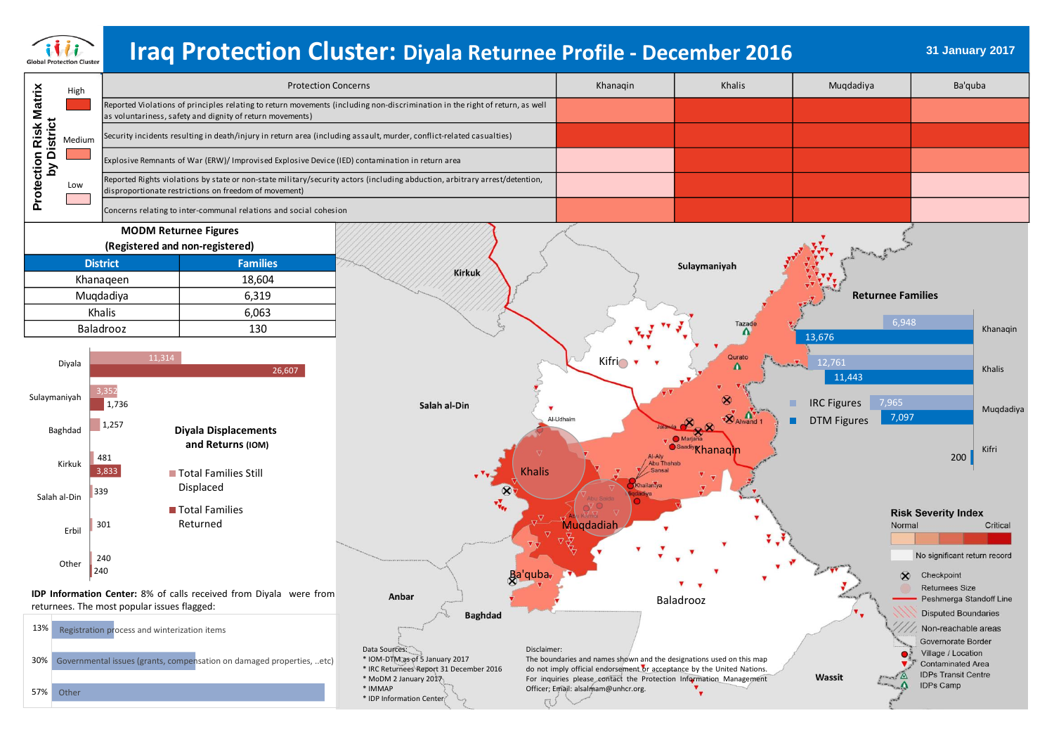

# **31 January 2017 Iraq Protection Cluster: Diyala Returnee Profile - December 2016**